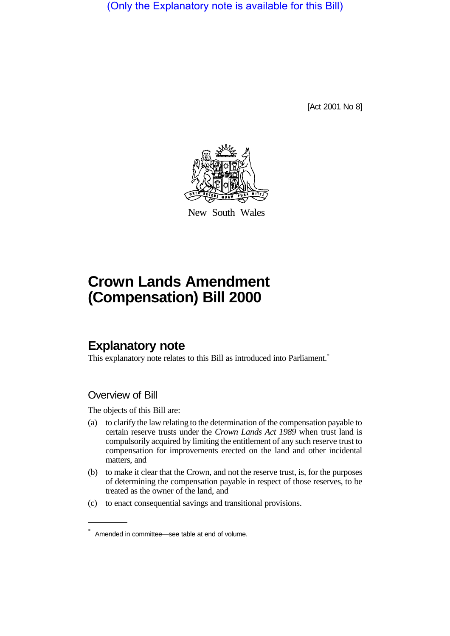(Only the Explanatory note is available for this Bill)

[Act 2001 No 8]



New South Wales

# **Crown Lands Amendment (Compensation) Bill 2000**

## **Explanatory note**

This explanatory note relates to this Bill as introduced into Parliament.<sup>\*</sup>

### Overview of Bill

The objects of this Bill are:

- (a) to clarify the law relating to the determination of the compensation payable to certain reserve trusts under the *Crown Lands Act 1989* when trust land is compulsorily acquired by limiting the entitlement of any such reserve trust to compensation for improvements erected on the land and other incidental matters, and
- (b) to make it clear that the Crown, and not the reserve trust, is, for the purposes of determining the compensation payable in respect of those reserves, to be treated as the owner of the land, and
- (c) to enact consequential savings and transitional provisions.

<sup>\*</sup> Amended in committee—see table at end of volume.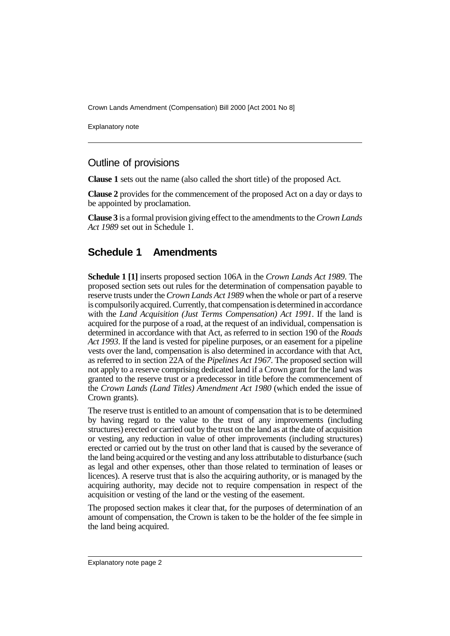Crown Lands Amendment (Compensation) Bill 2000 [Act 2001 No 8]

Explanatory note

### Outline of provisions

**Clause 1** sets out the name (also called the short title) of the proposed Act.

**Clause 2** provides for the commencement of the proposed Act on a day or days to be appointed by proclamation.

**Clause 3** is a formal provision giving effect to the amendments to the *Crown Lands Act 1989* set out in Schedule 1.

### **Schedule 1 Amendments**

**Schedule 1 [1]** inserts proposed section 106A in the *Crown Lands Act 1989*. The proposed section sets out rules for the determination of compensation payable to reserve trusts under the *Crown Lands Act 1989* when the whole or part of a reserve is compulsorily acquired. Currently, that compensation is determined in accordance with the *Land Acquisition (Just Terms Compensation) Act 1991*. If the land is acquired for the purpose of a road, at the request of an individual, compensation is determined in accordance with that Act, as referred to in section 190 of the *Roads Act 1993*. If the land is vested for pipeline purposes, or an easement for a pipeline vests over the land, compensation is also determined in accordance with that Act, as referred to in section 22A of the *Pipelines Act 1967*. The proposed section will not apply to a reserve comprising dedicated land if a Crown grant for the land was granted to the reserve trust or a predecessor in title before the commencement of the *Crown Lands (Land Titles) Amendment Act 1980* (which ended the issue of Crown grants).

The reserve trust is entitled to an amount of compensation that is to be determined by having regard to the value to the trust of any improvements (including structures) erected or carried out by the trust on the land as at the date of acquisition or vesting, any reduction in value of other improvements (including structures) erected or carried out by the trust on other land that is caused by the severance of the land being acquired or the vesting and any loss attributable to disturbance (such as legal and other expenses, other than those related to termination of leases or licences). A reserve trust that is also the acquiring authority, or is managed by the acquiring authority, may decide not to require compensation in respect of the acquisition or vesting of the land or the vesting of the easement.

The proposed section makes it clear that, for the purposes of determination of an amount of compensation, the Crown is taken to be the holder of the fee simple in the land being acquired.